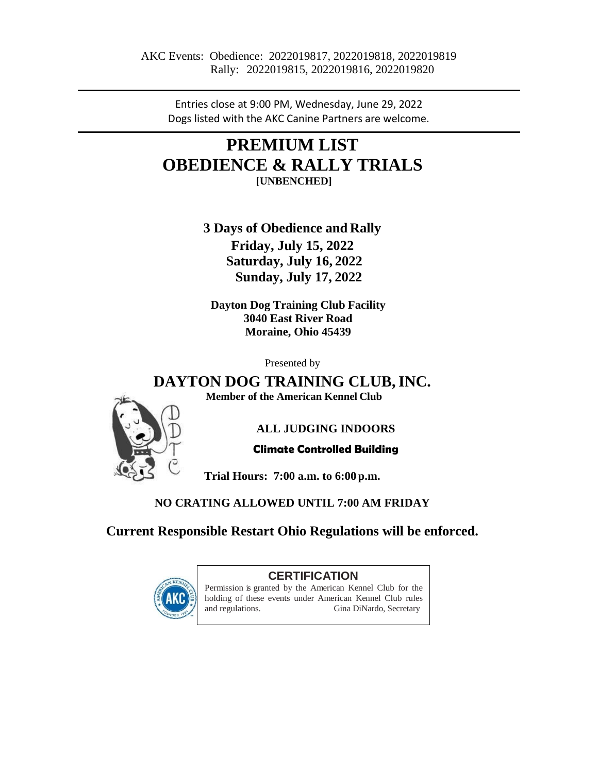AKC Events: Obedience: 2022019817, 2022019818, 2022019819 Rally: 2022019815, 2022019816, 2022019820

Entries close at 9:00 PM, Wednesday, June 29, 2022 Dogs listed with the AKC Canine Partners are welcome.

# **PREMIUM LIST OBEDIENCE & RALLY TRIALS [UNBENCHED]**

**3 Days of Obedience and Rally Friday, July 15, 2022 Saturday, July 16, 2022 Sunday, July 17, 2022**

**Dayton Dog Training Club Facility 3040 East River Road Moraine, Ohio 45439**

Presented by

# **DAYTON DOG TRAINING CLUB,INC.**

**Member of the American Kennel Club**



**ALL JUDGING INDOORS**

**Climate Controlled Building**

**Trial Hours: 7:00 a.m. to 6:00 p.m.**

**NO CRATING ALLOWED UNTIL 7:00 AM FRIDAY**

**Current Responsible Restart Ohio Regulations will be enforced.** 



## **CERTIFICATION**

Permission is granted by the American Kennel Club for the holding of these events under American Kennel Club rules<br>and regulations. Gina DiNardo, Secretary Gina DiNardo, Secretary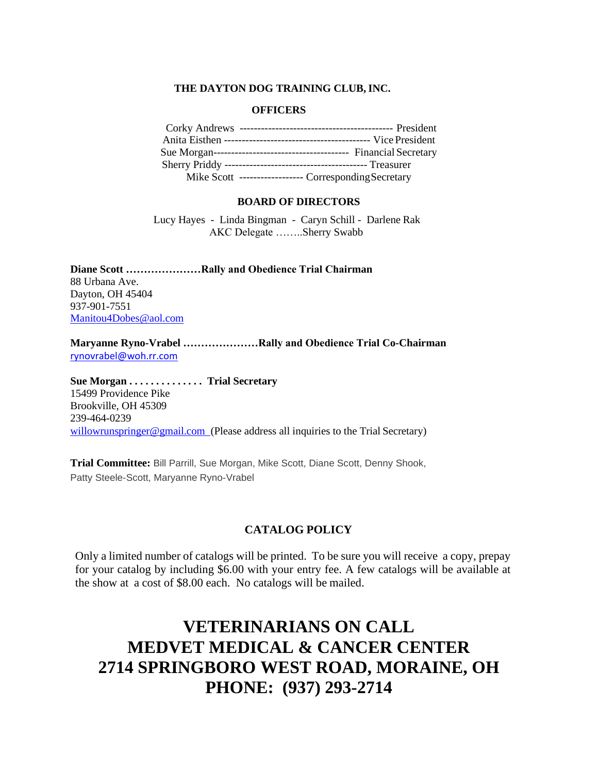## **THE DAYTON DOG TRAINING CLUB, INC.**

### **OFFICERS**

| Mike Scott ------------------- Corresponding Secretary |
|--------------------------------------------------------|

### **BOARD OF DIRECTORS**

 Lucy Hayes - Linda Bingman - Caryn Schill - Darlene Rak AKC Delegate ……..Sherry Swabb

**Diane Scott …………………Rally and Obedience Trial Chairman** 88 Urbana Ave. Dayton, OH 45404 937-901-7551 [Manitou4Dobes@](mailto:bcparrill@twc.com)aol.com

**Maryanne Ryno-Vrabel …………………Rally and Obedience Trial Co-Chairman** [rynovrabel@woh.rr.com](mailto:rynovrabel@woh.rr.com)

**Sue Morgan . . . . . . . . . . . . . . Trial Secretary** 15499 Providence Pike Brookville, OH 45309 239-464-0239 [willowrunspringer@gmail.com](mailto:willowrunspringer@gmail.com) (Please address all inquiries to the Trial Secretary)

**Trial Committee:** Bill Parrill, Sue Morgan, Mike Scott, Diane Scott, Denny Shook, Patty Steele-Scott, Maryanne Ryno-Vrabel

## **CATALOG POLICY**

Only a limited number of catalogs will be printed. To be sure you will receive a copy, prepay for your catalog by including \$6.00 with your entry fee. A few catalogs will be available at the show at a cost of \$8.00 each. No catalogs will be mailed.

# **VETERINARIANS ON CALL MEDVET MEDICAL & CANCER CENTER 2714 SPRINGBORO WEST ROAD, MORAINE, OH PHONE: (937) 293-2714**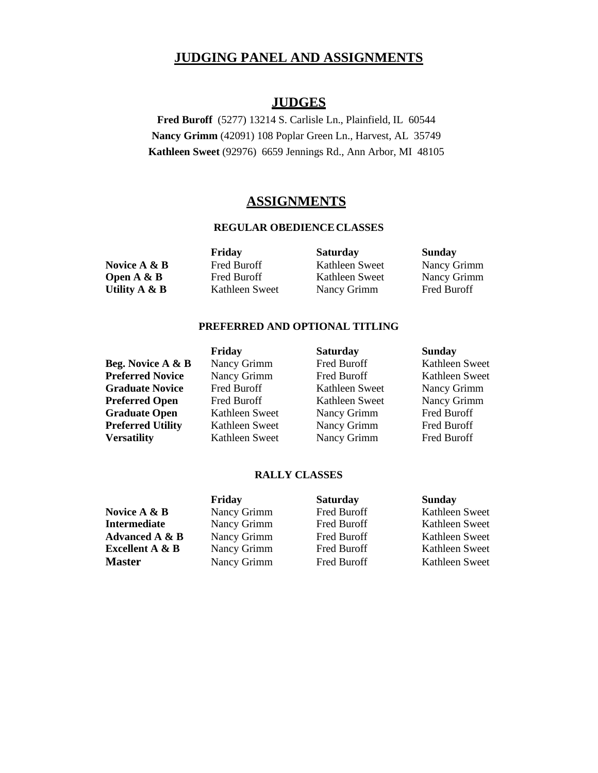## **JUDGING PANEL AND ASSIGNMENTS**

## **JUDGES**

**Fred Buroff** (5277) 13214 S. Carlisle Ln., Plainfield, IL 60544 **Nancy Grimm** (42091) 108 Poplar Green Ln., Harvest, AL 35749 **Kathleen Sweet** (92976) 6659 Jennings Rd., Ann Arbor, MI 48105

## **ASSIGNMENTS**

## **REGULAR OBEDIENCECLASSES**

**Friday Saturday Sunday Novice A & B** Fred Buroff Kathleen Sweet Nancy Grimm **Open A & B** Fred Buroff Kathleen Sweet Nancy Grimm Utility A & B Kathleen Sweet Nancy Grimm Fred Buroff

### **PREFERRED AND OPTIONAL TITLING**

**Beg. Novice A & B** Nancy Grimm Fred Buroff Kathleen Sweet **Preferred Novice** Nancy Grimm Fred Buroff Kathleen Sweet **Graduate Novice** Fred Buroff Kathleen Sweet Nancy Grimm **Preferred Open** Fred Buroff Kathleen Sweet Nancy Grimm Graduate Open Kathleen Sweet Nancy Grimm Fred Buroff **Preferred Utility** Kathleen Sweet Nancy Grimm Fred Buroff **Versatility** Kathleen Sweet Nancy Grimm Fred Buroff

**Friday Saturday Sunday**

## **RALLY CLASSES**

|                            | Friday      | <b>Saturday</b> | <b>Sunday</b>         |
|----------------------------|-------------|-----------------|-----------------------|
| Novice A & B               | Nancy Grimm | Fred Buroff     | <b>Kathleen Sweet</b> |
| <b>Intermediate</b>        | Nancy Grimm | Fred Buroff     | Kathleen Sweet        |
| <b>Advanced A &amp; B</b>  | Nancy Grimm | Fred Buroff     | Kathleen Sweet        |
| <b>Excellent A &amp; B</b> | Nancy Grimm | Fred Buroff     | Kathleen Sweet        |
| <b>Master</b>              | Nancy Grimm | Fred Buroff     | <b>Kathleen Sweet</b> |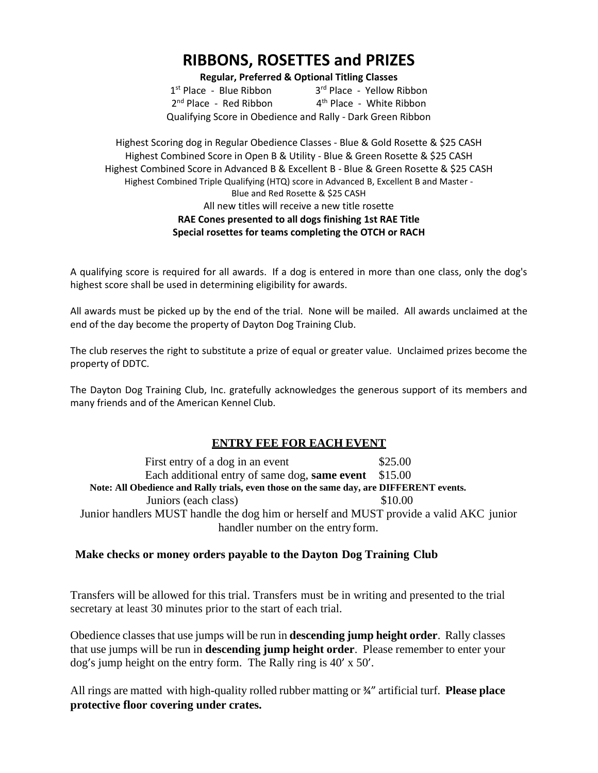# **RIBBONS, ROSETTES and PRIZES**

**Regular, Preferred & Optional Titling Classes**

1 st Place - Blue Ribbon 3 3<sup>rd</sup> Place - Yellow Ribbon 2 nd Place - Red Ribbon 4  $4<sup>th</sup>$  Place - White Ribbon Qualifying Score in Obedience and Rally - Dark Green Ribbon

Highest Scoring dog in Regular Obedience Classes - Blue & Gold Rosette & \$25 CASH Highest Combined Score in Open B & Utility - Blue & Green Rosette & \$25 CASH Highest Combined Score in Advanced B & Excellent B - Blue & Green Rosette & \$25 CASH Highest Combined Triple Qualifying (HTQ) score in Advanced B, Excellent B and Master - Blue and Red Rosette & \$25 CASH All new titles will receive a new title rosette **RAE Cones presented to all dogs finishing 1st RAE Title Special rosettes for teams completing the OTCH or RACH**

A qualifying score is required for all awards. If a dog is entered in more than one class, only the dog's highest score shall be used in determining eligibility for awards.

All awards must be picked up by the end of the trial. None will be mailed. All awards unclaimed at the end of the day become the property of Dayton Dog Training Club.

The club reserves the right to substitute a prize of equal or greater value. Unclaimed prizes become the property of DDTC.

The Dayton Dog Training Club, Inc. gratefully acknowledges the generous support of its members and many friends and of the American Kennel Club.

## **ENTRY FEE FOR EACH EVENT**

First entry of a dog in an event \$25.00 Each additional entry of same dog, **same event** \$15.00 **Note: All Obedience and Rally trials, even those on the same day, are DIFFERENT events.**  Juniors (each class)  $$10.00$ Junior handlers MUST handle the dog him or herself and MUST provide a valid AKC junior handler number on the entry form.

## **Make checks or money orders payable to the Dayton Dog Training Club**

Transfers will be allowed for this trial. Transfers must be in writing and presented to the trial secretary at least 30 minutes prior to the start of each trial.

Obedience classes that use jumps will be run in **descending jump height order**. Rally classes that use jumps will be run in **descending jump height order**. Please remember to enter your dog's jump height on the entry form. The Rally ring is 40' x 50'.

All rings are matted with high-quality rolled rubber matting or ¾" artificial turf. **Please place protective floor covering under crates.**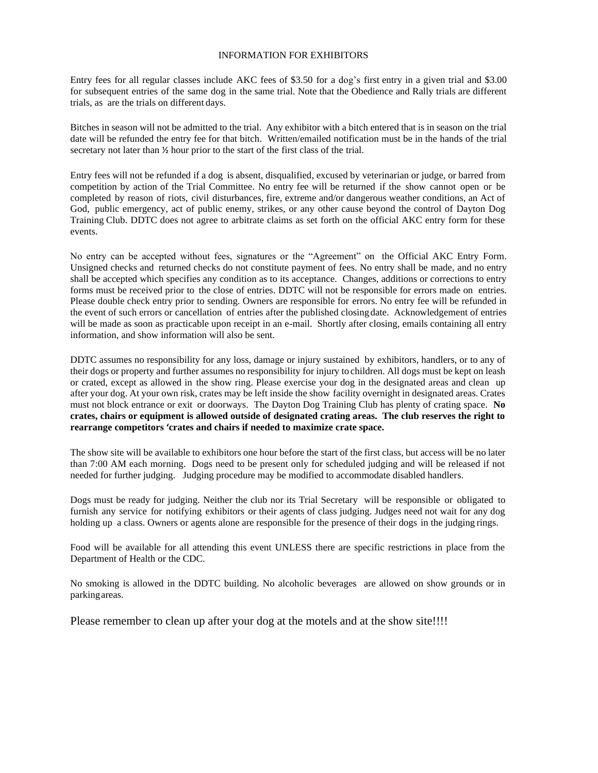#### INFORMATION FOR EXHIBITORS

Entry fees for all regular classes include AKC fees of \$3.50 for a dog's first entry in a given trial and \$3.00 for subsequent entries of the same dog in the same trial. Note that the Obedience and Rally trials are different trials, as are the trials on different days.

Bitches in season will not be admitted to the trial. Any exhibitor with a bitch entered that is in season on the trial date will be refunded the entry fee for that bitch. Written/emailed notification must be in the hands of the trial secretary not later than ½ hour prior to the start of the first class of the trial.

Entry fees will not be refunded if a dog is absent, disqualified, excused by veterinarian or judge, or barred from competition by action of the Trial Committee. No entry fee will be returned if the show cannot open or be completed by reason of riots, civil disturbances, fire, extreme and/or dangerous weather conditions, an Act of God, public emergency, act of public enemy, strikes, or any other cause beyond the control of Dayton Dog Training Club. DDTC does not agree to arbitrate claims as set forth on the official AKC entry form for these events.

No entry can be accepted without fees, signatures or the "Agreement" on the Official AKC Entry Form. Unsigned checks and returned checks do not constitute payment of fees. No entry shall be made, and no entry shall be accepted which specifies any condition as to its acceptance. Changes, additions or corrections to entry forms must be received prior to the close of entries. DDTC will not be responsible for errors made on entries. Please double check entry prior to sending. Owners are responsible for errors. No entry fee will be refunded in the event of such errors or cancellation of entries after the published closingdate. Acknowledgement of entries will be made as soon as practicable upon receipt in an e-mail. Shortly after closing, emails containing all entry information, and show information will also be sent.

DDTC assumes no responsibility for any loss, damage or injury sustained by exhibitors, handlers, or to any of their dogs or property and further assumes no responsibility for injury to children. All dogs must be kept on leash or crated, except as allowed in the show ring. Please exercise your dog in the designated areas and clean up after your dog. At your own risk, crates may be left inside the show facility overnight in designated areas. Crates must not block entrance or exit or doorways. The Dayton Dog Training Club has plenty of crating space. **No crates, chairs or equipment is allowed outside of designated crating areas. The club reserves the right to rearrange competitors 'crates and chairs if needed to maximize crate space.**

The show site will be available to exhibitors one hour before the start of the first class, but access will be no later than 7:00 AM each morning. Dogs need to be present only for scheduled judging and will be released if not needed for further judging. Judging procedure may be modified to accommodate disabled handlers.

Dogs must be ready for judging. Neither the club nor its Trial Secretary will be responsible or obligated to furnish any service for notifying exhibitors or their agents of class judging. Judges need not wait for any dog holding up a class. Owners or agents alone are responsible for the presence of their dogs in the judging rings.

Food will be available for all attending this event UNLESS there are specific restrictions in place from the Department of Health or the CDC.

No smoking is allowed in the DDTC building. No alcoholic beverages are allowed on show grounds or in parkingareas.

Please remember to clean up after your dog at the motels and at the show site!!!!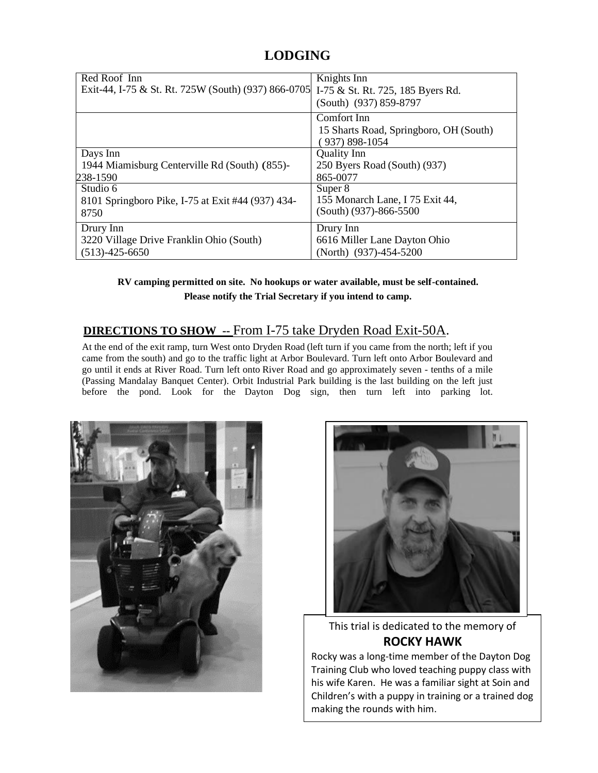# **LODGING**

| Red Roof Inn<br>Exit-44, I-75 & St. Rt. 725W (South) (937) 866-0705 | Knights Inn<br>I-75 & St. Rt. 725, 185 Byers Rd.<br>(South) (937) 859-8797 |
|---------------------------------------------------------------------|----------------------------------------------------------------------------|
|                                                                     | Comfort Inn<br>15 Sharts Road, Springboro, OH (South)<br>937) 898-1054     |
| Days Inn                                                            | <b>Quality Inn</b>                                                         |
| 1944 Miamisburg Centerville Rd (South) (855)-                       | 250 Byers Road (South) (937)                                               |
| 238-1590                                                            | 865-0077                                                                   |
| Studio 6                                                            | Super 8                                                                    |
| 8101 Springboro Pike, I-75 at Exit #44 (937) 434-                   | 155 Monarch Lane, I 75 Exit 44,                                            |
| 8750                                                                | $(South) (937) - 866 - 5500$                                               |
| Drury Inn                                                           | Drury Inn                                                                  |
| 3220 Village Drive Franklin Ohio (South)                            | 6616 Miller Lane Dayton Ohio                                               |
| $(513) - 425 - 6650$                                                | (North) (937)-454-5200                                                     |

**RV camping permitted on site. No hookups or water available, must be self-contained. Please notify the Trial Secretary if you intend to camp.**

## **DIRECTIONS TO SHOW --** From I-75 take Dryden Road Exit-50A.

At the end of the exit ramp, turn West onto Dryden Road (left turn if you came from the north; left if you came from the south) and go to the traffic light at Arbor Boulevard. Turn left onto Arbor Boulevard and go until it ends at River Road. Turn left onto River Road and go approximately seven - tenths of a mile (Passing Mandalay Banquet Center). Orbit Industrial Park building is the last building on the left just before the pond. Look for the Dayton Dog sign, then turn left into parking lot.





This trial is dedicated to the memory of **ROCKY HAWK**

Rocky was a long-time member of the Dayton Dog Training Club who loved teaching puppy class with his wife Karen. He was a familiar sight at Soin and Children's with a puppy in training or a trained dog making the rounds with him.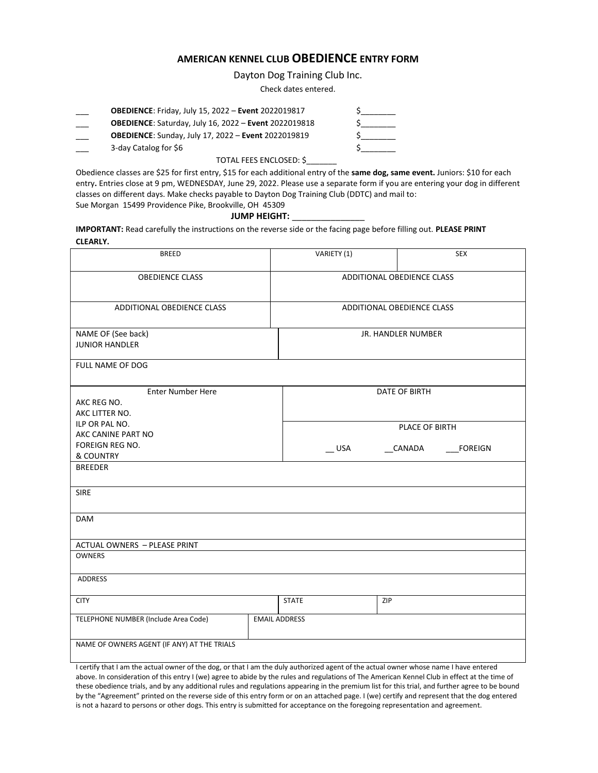## **AMERICAN KENNEL CLUB OBEDIENCE ENTRY FORM**

Dayton Dog Training Club Inc.

Check dates entered.

| <b>OBEDIENCE: Friday, July 15, 2022 - Event 2022019817</b>   |  |
|--------------------------------------------------------------|--|
| <b>OBEDIENCE:</b> Saturday, July 16, 2022 - Event 2022019818 |  |
| <b>OBEDIENCE:</b> Sunday, July 17, 2022 - Event 2022019819   |  |
| 3-day Catalog for \$6                                        |  |

### TOTAL FEES ENCLOSED: \$\_\_\_\_\_\_\_

Obedience classes are \$25 for first entry, \$15 for each additional entry of the **same dog, same event.** Juniors: \$10 for each entry**.** Entries close at 9 pm, WEDNESDAY, June 29, 2022. Please use a separate form if you are entering your dog in different classes on different days. Make checks payable to Dayton Dog Training Club (DDTC) and mail to: Sue Morgan 15499 Providence Pike, Brookville, OH 45309

#### **JUMP HEIGHT:** \_\_\_\_\_\_\_\_\_\_\_\_\_\_\_

**IMPORTANT:** Read carefully the instructions on the reverse side or the facing page before filling out. **PLEASE PRINT CLEARLY.**

| <b>BREED</b>                                              |                      | VARIETY (1)                  | <b>SEX</b>               |  |
|-----------------------------------------------------------|----------------------|------------------------------|--------------------------|--|
| OBEDIENCE CLASS                                           |                      | ADDITIONAL OBEDIENCE CLASS   |                          |  |
| ADDITIONAL OBEDIENCE CLASS                                |                      | ADDITIONAL OBEDIENCE CLASS   |                          |  |
| NAME OF (See back)<br><b>JUNIOR HANDLER</b>               |                      | JR. HANDLER NUMBER           |                          |  |
| FULL NAME OF DOG                                          |                      |                              |                          |  |
| <b>Enter Number Here</b><br>AKC REG NO.<br>AKC LITTER NO. |                      | DATE OF BIRTH                |                          |  |
| ILP OR PAL NO.                                            |                      |                              | PLACE OF BIRTH           |  |
| AKC CANINE PART NO<br>FOREIGN REG NO.<br>& COUNTRY        |                      | $\overline{\phantom{a}}$ USA | CANADA<br><b>FOREIGN</b> |  |
| <b>BREEDER</b>                                            |                      |                              |                          |  |
| <b>SIRE</b>                                               |                      |                              |                          |  |
| <b>DAM</b>                                                |                      |                              |                          |  |
| <b>ACTUAL OWNERS - PLEASE PRINT</b>                       |                      |                              |                          |  |
| <b>OWNERS</b>                                             |                      |                              |                          |  |
| <b>ADDRESS</b>                                            |                      |                              |                          |  |
| <b>CITY</b>                                               | <b>STATE</b>         |                              | ZIP                      |  |
| TELEPHONE NUMBER (Include Area Code)                      | <b>EMAIL ADDRESS</b> |                              |                          |  |
| NAME OF OWNERS AGENT (IF ANY) AT THE TRIALS               |                      |                              |                          |  |

I certify that I am the actual owner of the dog, or that I am the duly authorized agent of the actual owner whose name I have entered above. In consideration of this entry I (we) agree to abide by the rules and regulations of The American Kennel Club in effect at the time of these obedience trials, and by any additional rules and regulations appearing in the premium list for this trial, and further agree to be bound by the "Agreement" printed on the reverse side of this entry form or on an attached page. I (we) certify and represent that the dog entered is not a hazard to persons or other dogs. This entry is submitted for acceptance on the foregoing representation and agreement.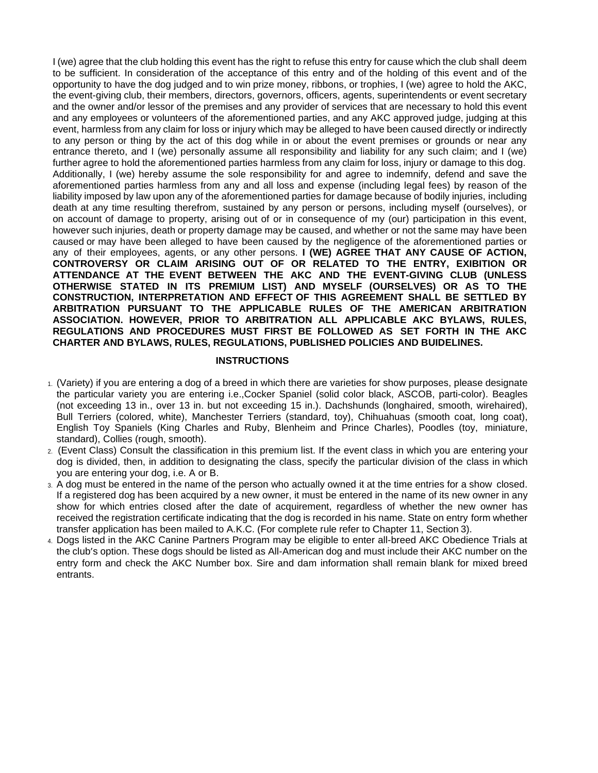I (we) agree that the club holding this event has the right to refuse this entry for cause which the club shall deem to be sufficient. In consideration of the acceptance of this entry and of the holding of this event and of the opportunity to have the dog judged and to win prize money, ribbons, or trophies, I (we) agree to hold the AKC, the event-giving club, their members, directors, governors, officers, agents, superintendents or event secretary and the owner and/or lessor of the premises and any provider of services that are necessary to hold this event and any employees or volunteers of the aforementioned parties, and any AKC approved judge, judging at this event, harmless from any claim for loss or injury which may be alleged to have been caused directly or indirectly to any person or thing by the act of this dog while in or about the event premises or grounds or near any entrance thereto, and I (we) personally assume all responsibility and liability for any such claim; and I (we) further agree to hold the aforementioned parties harmless from any claim for loss, injury or damage to this dog. Additionally, I (we) hereby assume the sole responsibility for and agree to indemnify, defend and save the aforementioned parties harmless from any and all loss and expense (including legal fees) by reason of the liability imposed by law upon any of the aforementioned parties for damage because of bodily injuries, including death at any time resulting therefrom, sustained by any person or persons, including myself (ourselves), or on account of damage to property, arising out of or in consequence of my (our) participation in this event, however such injuries, death or property damage may be caused, and whether or not the same may have been caused or may have been alleged to have been caused by the negligence of the aforementioned parties or any of their employees, agents, or any other persons. **I (WE) AGREE THAT ANY CAUSE OF ACTION, CONTROVERSY OR CLAIM ARISING OUT OF OR RELATED TO THE ENTRY, EXIBITION OR ATTENDANCE AT THE EVENT BETWEEN THE AKC AND THE EVENT-GIVING CLUB (UNLESS OTHERWISE STATED IN ITS PREMIUM LIST) AND MYSELF (OURSELVES) OR AS TO THE CONSTRUCTION, INTERPRETATION AND EFFECT OF THIS AGREEMENT SHALL BE SETTLED BY ARBITRATION PURSUANT TO THE APPLICABLE RULES OF THE AMERICAN ARBITRATION ASSOCIATION. HOWEVER, PRIOR TO ARBITRATION ALL APPLICABLE AKC BYLAWS, RULES, REGULATIONS AND PROCEDURES MUST FIRST BE FOLLOWED AS SET FORTH IN THE AKC CHARTER AND BYLAWS, RULES, REGULATIONS, PUBLISHED POLICIES AND BUIDELINES.**

### **INSTRUCTIONS**

- 1. (Variety) if you are entering a dog of a breed in which there are varieties for show purposes, please designate the particular variety you are entering i.e.,Cocker Spaniel (solid color black, ASCOB, parti-color). Beagles (not exceeding 13 in., over 13 in. but not exceeding 15 in.). Dachshunds (longhaired, smooth, wirehaired), Bull Terriers (colored, white), Manchester Terriers (standard, toy), Chihuahuas (smooth coat, long coat), English Toy Spaniels (King Charles and Ruby, Blenheim and Prince Charles), Poodles (toy, miniature, standard), Collies (rough, smooth).
- 2. (Event Class) Consult the classification in this premium list. If the event class in which you are entering your dog is divided, then, in addition to designating the class, specify the particular division of the class in which you are entering your dog, i.e. A or B.
- 3. A dog must be entered in the name of the person who actually owned it at the time entries for a show closed. If a registered dog has been acquired by a new owner, it must be entered in the name of its new owner in any show for which entries closed after the date of acquirement, regardless of whether the new owner has received the registration certificate indicating that the dog is recorded in his name. State on entry form whether transfer application has been mailed to A.K.C. (For complete rule refer to Chapter 11, Section 3).
- 4. Dogs listed in the AKC Canine Partners Program may be eligible to enter all-breed AKC Obedience Trials at the club's option. These dogs should be listed as All-American dog and must include their AKC number on the entry form and check the AKC Number box. Sire and dam information shall remain blank for mixed breed entrants.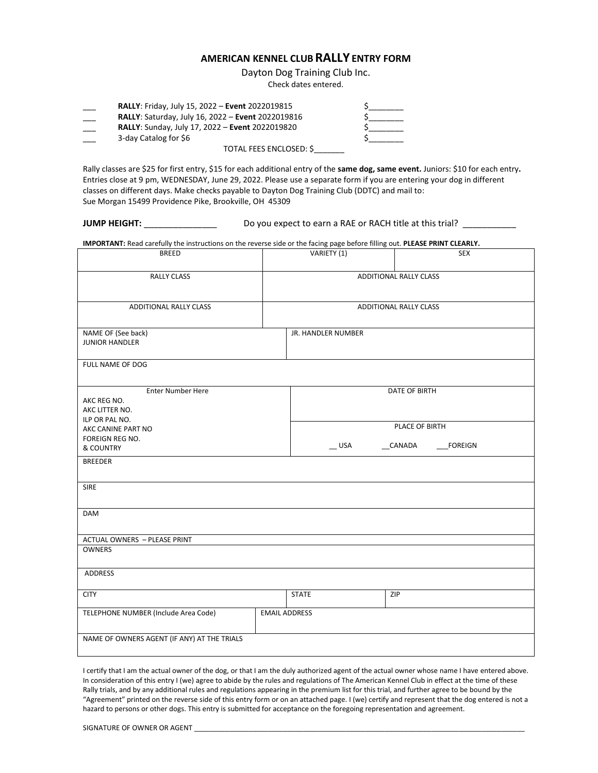### **AMERICAN KENNEL CLUBRALLYENTRY FORM**

Dayton Dog Training Club Inc. Check dates entered.

| RALLY: Friday, July 15, 2022 - Event 2022019815   |  |
|---------------------------------------------------|--|
| RALLY: Saturday, July 16, 2022 - Event 2022019816 |  |
| RALLY: Sunday, July 17, 2022 - Event 2022019820   |  |
| 3-day Catalog for \$6                             |  |
| TOTAL FEES ENCLOSED: \$                           |  |

Rally classes are \$25 for first entry, \$15 for each additional entry of the **same dog, same event.** Juniors: \$10 for each entry**.**  Entries close at 9 pm, WEDNESDAY, June 29, 2022. Please use a separate form if you are entering your dog in different classes on different days. Make checks payable to Dayton Dog Training Club (DDTC) and mail to: Sue Morgan 15499 Providence Pike, Brookville, OH 45309

**JUMP HEIGHT:** \_\_\_\_\_\_\_\_\_\_\_\_\_\_\_\_\_\_\_\_\_\_\_ Do you expect to earn a RAE or RACH title at this trial? \_\_\_\_\_\_\_\_\_\_\_\_

| IMPORTANT: Read carefully the instructions on the reverse side or the facing page before filling out. PLEASE PRINT CLEARLY. |  |
|-----------------------------------------------------------------------------------------------------------------------------|--|
|-----------------------------------------------------------------------------------------------------------------------------|--|

| <b>BREED</b>                                         |                      | VARIETY (1)            | <b>SEX</b>                    |  |
|------------------------------------------------------|----------------------|------------------------|-------------------------------|--|
| <b>RALLY CLASS</b>                                   |                      | ADDITIONAL RALLY CLASS |                               |  |
|                                                      |                      |                        |                               |  |
|                                                      |                      |                        |                               |  |
| <b>ADDITIONAL RALLY CLASS</b>                        |                      |                        | <b>ADDITIONAL RALLY CLASS</b> |  |
| NAME OF (See back)                                   |                      | JR. HANDLER NUMBER     |                               |  |
| <b>JUNIOR HANDLER</b>                                |                      |                        |                               |  |
|                                                      |                      |                        |                               |  |
| FULL NAME OF DOG                                     |                      |                        |                               |  |
|                                                      |                      |                        |                               |  |
| <b>Enter Number Here</b><br>AKC REG NO.              |                      |                        | DATE OF BIRTH                 |  |
| AKC LITTER NO.                                       |                      |                        |                               |  |
| ILP OR PAL NO.<br>AKC CANINE PART NO                 |                      |                        | PLACE OF BIRTH                |  |
| FOREIGN REG NO.                                      |                      |                        |                               |  |
| & COUNTRY                                            |                      | $\_$ USA               | CANADA<br><b>FOREIGN</b>      |  |
| <b>BREEDER</b>                                       |                      |                        |                               |  |
|                                                      |                      |                        |                               |  |
| <b>SIRE</b>                                          |                      |                        |                               |  |
|                                                      |                      |                        |                               |  |
| DAM                                                  |                      |                        |                               |  |
|                                                      |                      |                        |                               |  |
| <b>ACTUAL OWNERS - PLEASE PRINT</b><br><b>OWNERS</b> |                      |                        |                               |  |
|                                                      |                      |                        |                               |  |
| <b>ADDRESS</b>                                       |                      |                        |                               |  |
|                                                      |                      |                        |                               |  |
| <b>CITY</b>                                          |                      | <b>STATE</b>           | ZIP                           |  |
| TELEPHONE NUMBER (Include Area Code)                 | <b>EMAIL ADDRESS</b> |                        |                               |  |
|                                                      |                      |                        |                               |  |
| NAME OF OWNERS AGENT (IF ANY) AT THE TRIALS          |                      |                        |                               |  |
|                                                      |                      |                        |                               |  |

I certify that I am the actual owner of the dog, or that I am the duly authorized agent of the actual owner whose name I have entered above. In consideration of this entry I (we) agree to abide by the rules and regulations of The American Kennel Club in effect at the time of these Rally trials, and by any additional rules and regulations appearing in the premium list for this trial, and further agree to be bound by the "Agreement" printed on the reverse side of this entry form or on an attached page. I (we) certify and represent that the dog entered is not a hazard to persons or other dogs. This entry is submitted for acceptance on the foregoing representation and agreement.